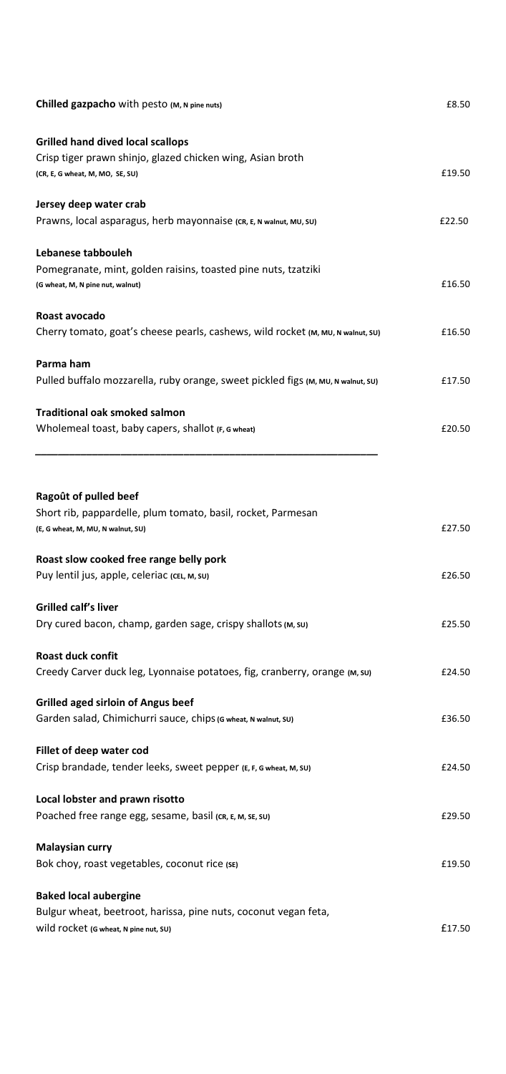| Chilled gazpacho with pesto (M, N pine nuts)                                                                                             | £8.50  |
|------------------------------------------------------------------------------------------------------------------------------------------|--------|
| Grilled hand dived local scallops<br>Crisp tiger prawn shinjo, glazed chicken wing, Asian broth<br>(CR, E, G wheat, M, MO, SE, SU)       | £19.50 |
| Jersey deep water crab<br>Prawns, local asparagus, herb mayonnaise (CR, E, N walnut, MU, SU)                                             | £22.50 |
| Lebanese tabbouleh<br>Pomegranate, mint, golden raisins, toasted pine nuts, tzatziki<br>(G wheat, M, N pine nut, walnut)                 | £16.50 |
| Roast avocado<br>Cherry tomato, goat's cheese pearls, cashews, wild rocket (M, MU, N walnut, SU)                                         | £16.50 |
| Parma ham<br>Pulled buffalo mozzarella, ruby orange, sweet pickled figs (M, MU, N walnut, SU)                                            | £17.50 |
| <b>Traditional oak smoked salmon</b><br>Wholemeal toast, baby capers, shallot (F, G wheat)                                               | £20.50 |
| Ragoût of pulled beef                                                                                                                    |        |
| Short rib, pappardelle, plum tomato, basil, rocket, Parmesan<br>(E, G wheat, M, MU, N walnut, SU)                                        | £27.50 |
| Roast slow cooked free range belly pork<br>Puy lentil jus, apple, celeriac (CEL, M, SU)                                                  | £26.50 |
| Grilled calf's liver<br>Dry cured bacon, champ, garden sage, crispy shallots (M, su)                                                     | £25.50 |
| Roast duck confit<br>Creedy Carver duck leg, Lyonnaise potatoes, fig, cranberry, orange (M, su)                                          | £24.50 |
| <b>Grilled aged sirloin of Angus beef</b><br>Garden salad, Chimichurri sauce, chips (G wheat, N walnut, SU)                              | £36.50 |
| Fillet of deep water cod<br>Crisp brandade, tender leeks, sweet pepper (E, F, G wheat, M, SU)                                            | £24.50 |
| Local lobster and prawn risotto<br>Poached free range egg, sesame, basil (CR, E, M, SE, SU)                                              | £29.50 |
| Malaysian curry<br>Bok choy, roast vegetables, coconut rice (SE)                                                                         | £19.50 |
| <b>Baked local aubergine</b><br>Bulgur wheat, beetroot, harissa, pine nuts, coconut vegan feta,<br>Wild rocket (G wheat, N pine nut, SU) | £17.50 |